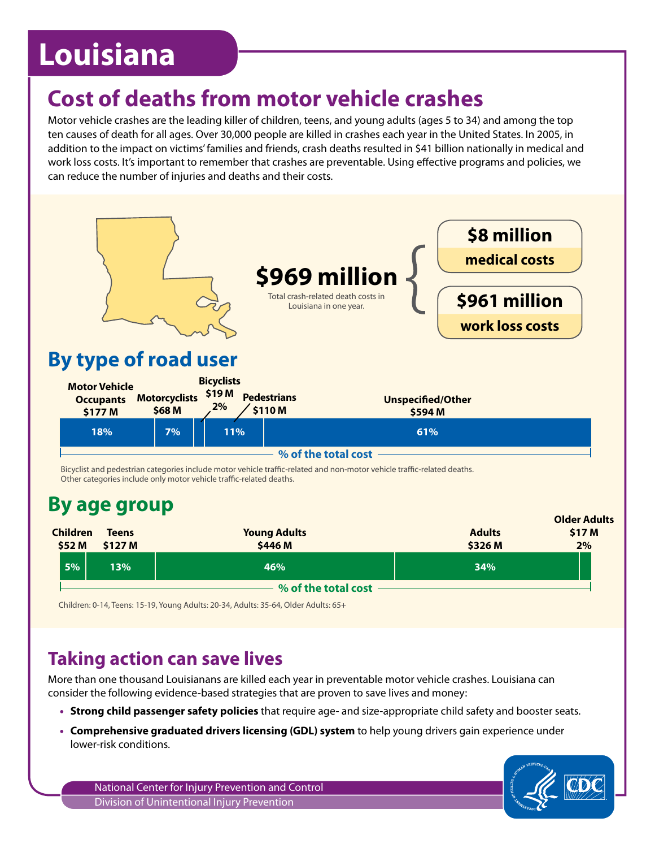# **Louisiana**

## **Cost of deaths from motor vehicle crashes**

Motor vehicle crashes are the leading killer of children, teens, and young adults (ages 5 to 34) and among the top ten causes of death for all ages. Over 30,000 people are killed in crashes each year in the United States. In 2005, in addition to the impact on victims' families and friends, crash deaths resulted in \$41 billion nationally in medical and work loss costs. It's important to remember that crashes are preventable. Using effective programs and policies, we can reduce the number of injuries and deaths and their costs.



**% of the total cost**

Children: 0-14, Teens: 15-19, Young Adults: 20-34, Adults: 35-64, Older Adults: 65+

### **Taking action can save lives**

More than one thousand Louisianans are killed each year in preventable motor vehicle crashes. Louisiana can consider the following evidence-based strategies that are proven to save lives and money:

- **Strong child passenger safety policies** that require age- and size-appropriate child safety and booster seats.
- **Comprehensive graduated drivers licensing (GDL) system** to help young drivers gain experience under lower-risk conditions.

National Center for Injury Prevention and Control Division of Unintentional Injury Prevention